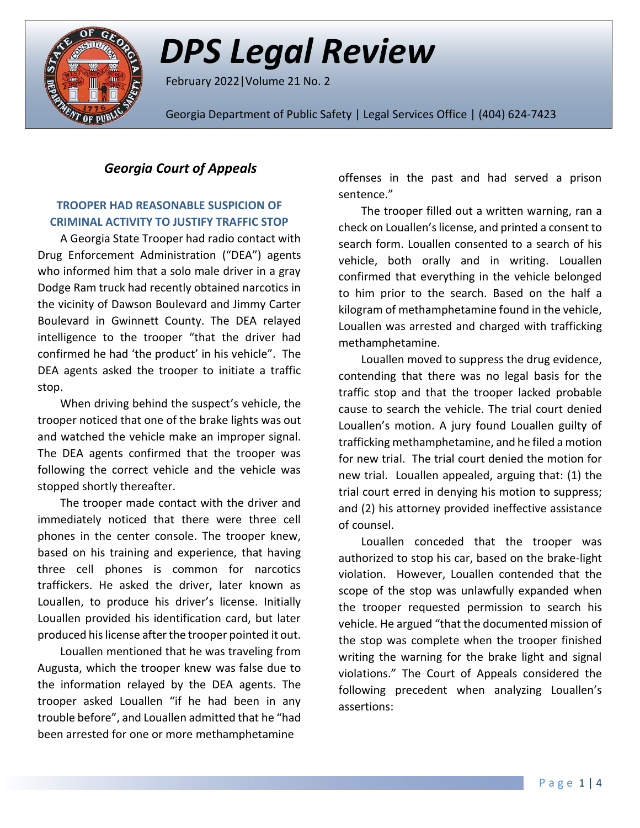

# *DPS Legal Review*

February 2022|Volume 21 No. 2

Georgia Department of Public Safety | Legal Services Office | (404) 624-7423

## *Georgia Court of Appeals*

### **TROOPER HAD REASONABLE SUSPICION OF CRIMINAL ACTIVITY TO JUSTIFY TRAFFIC STOP**

A Georgia State Trooper had radio contact with Drug Enforcement Administration ("DEA") agents who informed him that a solo male driver in a gray Dodge Ram truck had recently obtained narcotics in the vicinity of Dawson Boulevard and Jimmy Carter Boulevard in Gwinnett County. The DEA relayed intelligence to the trooper "that the driver had confirmed he had 'the product' in his vehicle". The DEA agents asked the trooper to initiate a traffic stop.

When driving behind the suspect's vehicle, the trooper noticed that one of the brake lights was out and watched the vehicle make an improper signal. The DEA agents confirmed that the trooper was following the correct vehicle and the vehicle was stopped shortly thereafter.

The trooper made contact with the driver and immediately noticed that there were three cell phones in the center console. The trooper knew, based on his training and experience, that having three cell phones is common for narcotics traffickers. He asked the driver, later known as Louallen, to produce his driver's license. Initially Louallen provided his identification card, but later produced his license after the trooper pointed it out.

Louallen mentioned that he was traveling from Augusta, which the trooper knew was false due to the information relayed by the DEA agents. The trooper asked Louallen "if he had been in any trouble before", and Louallen admitted that he "had been arrested for one or more methamphetamine

offenses in the past and had served a prison sentence."

The trooper filled out a written warning, ran a check on Louallen's license, and printed a consent to search form. Louallen consented to a search of his vehicle, both orally and in writing. Louallen confirmed that everything in the vehicle belonged to him prior to the search. Based on the half a kilogram of methamphetamine found in the vehicle, Louallen was arrested and charged with trafficking methamphetamine.

Louallen moved to suppress the drug evidence, contending that there was no legal basis for the traffic stop and that the trooper lacked probable cause to search the vehicle. The trial court denied Louallen's motion. A jury found Louallen guilty of trafficking methamphetamine, and he filed a motion for new trial. The trial court denied the motion for new trial. Louallen appealed, arguing that: (1) the trial court erred in denying his motion to suppress; and (2) his attorney provided ineffective assistance of counsel.

Louallen conceded that the trooper was authorized to stop his car, based on the brake-light violation. However, Louallen contended that the scope of the stop was unlawfully expanded when the trooper requested permission to search his vehicle. He argued "that the documented mission of the stop was complete when the trooper finished writing the warning for the brake light and signal violations." The Court of Appeals considered the following precedent when analyzing Louallen's assertions: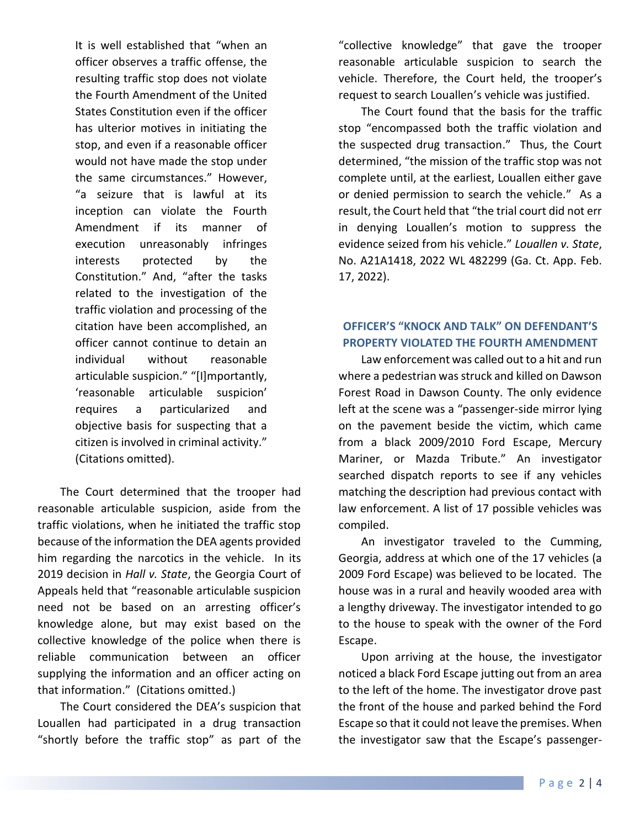It is well established that "when an officer observes a traffic offense, the resulting traffic stop does not violate the Fourth Amendment of the United States Constitution even if the officer has ulterior motives in initiating the stop, and even if a reasonable officer would not have made the stop under the same circumstances." However, "a seizure that is lawful at its inception can violate the Fourth Amendment if its manner of execution unreasonably infringes interests protected by the Constitution." And, "after the tasks related to the investigation of the traffic violation and processing of the citation have been accomplished, an officer cannot continue to detain an individual without reasonable articulable suspicion." "[I]mportantly, 'reasonable articulable suspicion' requires a particularized and objective basis for suspecting that a citizen is involved in criminal activity." (Citations omitted).

The Court determined that the trooper had reasonable articulable suspicion, aside from the traffic violations, when he initiated the traffic stop because of the information the DEA agents provided him regarding the narcotics in the vehicle. In its 2019 decision in *Hall v. State*, the Georgia Court of Appeals held that "reasonable articulable suspicion need not be based on an arresting officer's knowledge alone, but may exist based on the collective knowledge of the police when there is reliable communication between an officer supplying the information and an officer acting on that information." (Citations omitted.)

The Court considered the DEA's suspicion that Louallen had participated in a drug transaction "shortly before the traffic stop" as part of the

"collective knowledge" that gave the trooper reasonable articulable suspicion to search the vehicle. Therefore, the Court held, the trooper's request to search Louallen's vehicle was justified.

The Court found that the basis for the traffic stop "encompassed both the traffic violation and the suspected drug transaction." Thus, the Court determined, "the mission of the traffic stop was not complete until, at the earliest, Louallen either gave or denied permission to search the vehicle." As a result, the Court held that "the trial court did not err in denying Louallen's motion to suppress the evidence seized from his vehicle." *Louallen v. State*, No. A21A1418, 2022 WL 482299 (Ga. Ct. App. Feb. 17, 2022).

## **OFFICER'S "KNOCK AND TALK" ON DEFENDANT'S PROPERTY VIOLATED THE FOURTH AMENDMENT**

Law enforcement was called out to a hit and run where a pedestrian was struck and killed on Dawson Forest Road in Dawson County. The only evidence left at the scene was a "passenger-side mirror lying on the pavement beside the victim, which came from a black 2009/2010 Ford Escape, Mercury Mariner, or Mazda Tribute." An investigator searched dispatch reports to see if any vehicles matching the description had previous contact with law enforcement. A list of 17 possible vehicles was compiled.

An investigator traveled to the Cumming, Georgia, address at which one of the 17 vehicles (a 2009 Ford Escape) was believed to be located. The house was in a rural and heavily wooded area with a lengthy driveway. The investigator intended to go to the house to speak with the owner of the Ford Escape.

Upon arriving at the house, the investigator noticed a black Ford Escape jutting out from an area to the left of the home. The investigator drove past the front of the house and parked behind the Ford Escape so that it could not leave the premises. When the investigator saw that the Escape's passenger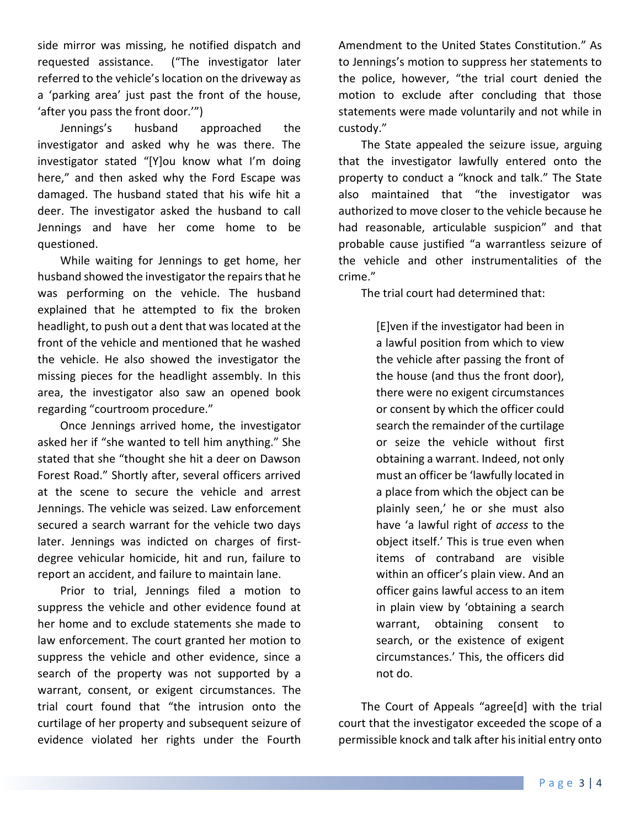side mirror was missing, he notified dispatch and requested assistance. ("The investigator later referred to the vehicle's location on the driveway as a 'parking area' just past the front of the house, 'after you pass the front door.'")

Jennings's husband approached the investigator and asked why he was there. The investigator stated "[Y]ou know what I'm doing here," and then asked why the Ford Escape was damaged. The husband stated that his wife hit a deer. The investigator asked the husband to call Jennings and have her come home to be questioned.

While waiting for Jennings to get home, her husband showed the investigator the repairs that he was performing on the vehicle. The husband explained that he attempted to fix the broken headlight, to push out a dent that was located at the front of the vehicle and mentioned that he washed the vehicle. He also showed the investigator the missing pieces for the headlight assembly. In this area, the investigator also saw an opened book regarding "courtroom procedure."

Once Jennings arrived home, the investigator asked her if "she wanted to tell him anything." She stated that she "thought she hit a deer on Dawson Forest Road." Shortly after, several officers arrived at the scene to secure the vehicle and arrest Jennings. The vehicle was seized. Law enforcement secured a search warrant for the vehicle two days later. Jennings was indicted on charges of firstdegree vehicular homicide, hit and run, failure to report an accident, and failure to maintain lane.

Prior to trial, Jennings filed a motion to suppress the vehicle and other evidence found at her home and to exclude statements she made to law enforcement. The court granted her motion to suppress the vehicle and other evidence, since a search of the property was not supported by a warrant, consent, or exigent circumstances. The trial court found that "the intrusion onto the curtilage of her property and subsequent seizure of evidence violated her rights under the Fourth

Amendment to the United States Constitution." As to Jennings's motion to suppress her statements to the police, however, "the trial court denied the motion to exclude after concluding that those statements were made voluntarily and not while in custody."

The State appealed the seizure issue, arguing that the investigator lawfully entered onto the property to conduct a "knock and talk." The State also maintained that "the investigator was authorized to move closer to the vehicle because he had reasonable, articulable suspicion" and that probable cause justified "a warrantless seizure of the vehicle and other instrumentalities of the crime."

The trial court had determined that:

[E]ven if the investigator had been in a lawful position from which to view the vehicle after passing the front of the house (and thus the front door), there were no exigent circumstances or consent by which the officer could search the remainder of the curtilage or seize the vehicle without first obtaining a warrant. Indeed, not only must an officer be 'lawfully located in a place from which the object can be plainly seen,' he or she must also have 'a lawful right of *access* to the object itself.' This is true even when items of contraband are visible within an officer's plain view. And an officer gains lawful access to an item in plain view by 'obtaining a search warrant, obtaining consent to search, or the existence of exigent circumstances.' This, the officers did not do.

The Court of Appeals "agree[d] with the trial court that the investigator exceeded the scope of a permissible knock and talk after his initial entry onto